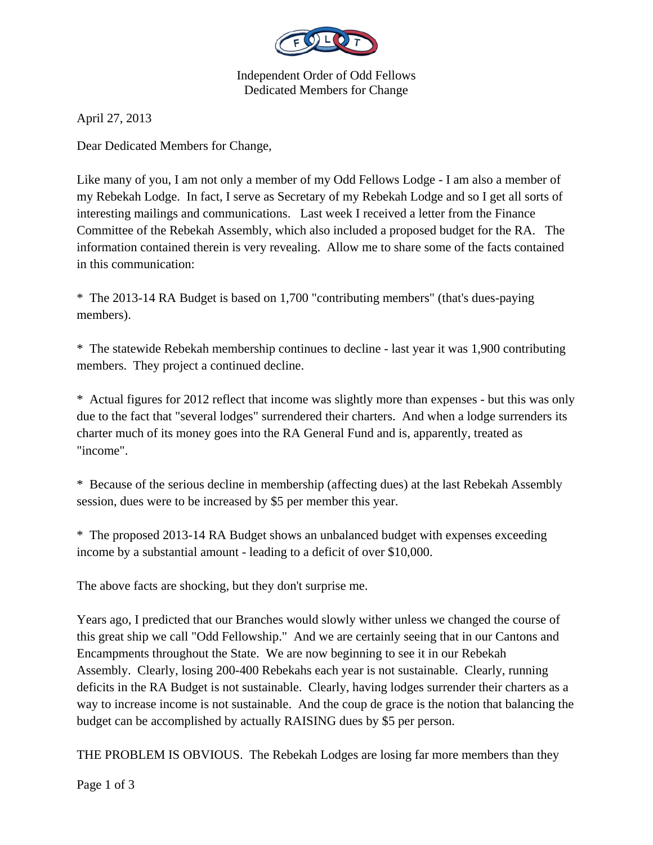

Independent Order of Odd Fellows Dedicated Members for Change

April 27, 2013

Dear Dedicated Members for Change,

Like many of you, I am not only a member of my Odd Fellows Lodge - I am also a member of my Rebekah Lodge. In fact, I serve as Secretary of my Rebekah Lodge and so I get all sorts of interesting mailings and communications. Last week I received a letter from the Finance Committee of the Rebekah Assembly, which also included a proposed budget for the RA. The information contained therein is very revealing. Allow me to share some of the facts contained in this communication:

\* The 2013-14 RA Budget is based on 1,700 "contributing members" (that's dues-paying members).

\* The statewide Rebekah membership continues to decline - last year it was 1,900 contributing members. They project a continued decline.

\* Actual figures for 2012 reflect that income was slightly more than expenses - but this was only due to the fact that "several lodges" surrendered their charters. And when a lodge surrenders its charter much of its money goes into the RA General Fund and is, apparently, treated as "income".

\* Because of the serious decline in membership (affecting dues) at the last Rebekah Assembly session, dues were to be increased by \$5 per member this year.

\* The proposed 2013-14 RA Budget shows an unbalanced budget with expenses exceeding income by a substantial amount - leading to a deficit of over \$10,000.

The above facts are shocking, but they don't surprise me.

Years ago, I predicted that our Branches would slowly wither unless we changed the course of this great ship we call "Odd Fellowship." And we are certainly seeing that in our Cantons and Encampments throughout the State. We are now beginning to see it in our Rebekah Assembly. Clearly, losing 200-400 Rebekahs each year is not sustainable. Clearly, running deficits in the RA Budget is not sustainable. Clearly, having lodges surrender their charters as a way to increase income is not sustainable. And the coup de grace is the notion that balancing the budget can be accomplished by actually RAISING dues by \$5 per person.

THE PROBLEM IS OBVIOUS. The Rebekah Lodges are losing far more members than they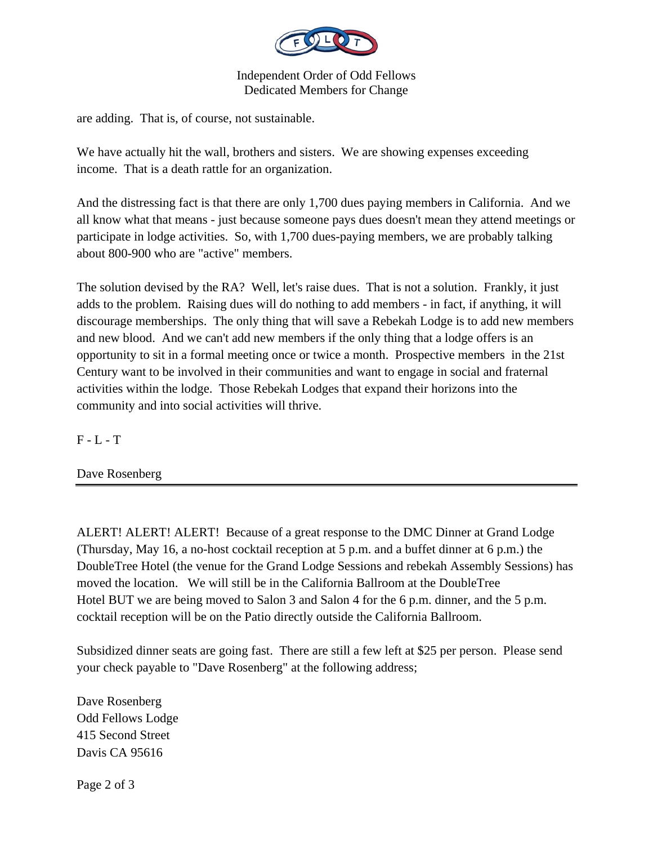

## Independent Order of Odd Fellows Dedicated Members for Change

are adding. That is, of course, not sustainable.

We have actually hit the wall, brothers and sisters. We are showing expenses exceeding income. That is a death rattle for an organization.

And the distressing fact is that there are only 1,700 dues paying members in California. And we all know what that means - just because someone pays dues doesn't mean they attend meetings or participate in lodge activities. So, with 1,700 dues-paying members, we are probably talking about 800-900 who are "active" members.

The solution devised by the RA? Well, let's raise dues. That is not a solution. Frankly, it just adds to the problem. Raising dues will do nothing to add members - in fact, if anything, it will discourage memberships. The only thing that will save a Rebekah Lodge is to add new members and new blood. And we can't add new members if the only thing that a lodge offers is an opportunity to sit in a formal meeting once or twice a month. Prospective members in the 21st Century want to be involved in their communities and want to engage in social and fraternal activities within the lodge. Those Rebekah Lodges that expand their horizons into the community and into social activities will thrive.

 $F - L - T$ 

Dave Rosenberg

ALERT! ALERT! ALERT! Because of a great response to the DMC Dinner at Grand Lodge (Thursday, May 16, a no-host cocktail reception at 5 p.m. and a buffet dinner at 6 p.m.) the DoubleTree Hotel (the venue for the Grand Lodge Sessions and rebekah Assembly Sessions) has moved the location. We will still be in the California Ballroom at the DoubleTree Hotel BUT we are being moved to Salon 3 and Salon 4 for the 6 p.m. dinner, and the 5 p.m. cocktail reception will be on the Patio directly outside the California Ballroom.

Subsidized dinner seats are going fast. There are still a few left at \$25 per person. Please send your check payable to "Dave Rosenberg" at the following address;

Dave Rosenberg Odd Fellows Lodge 415 Second Street Davis CA 95616